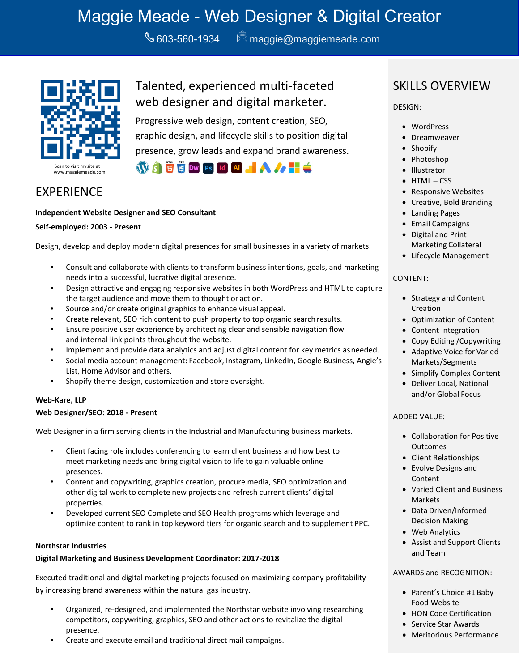# Maggie Meade - Web Designer & Digital Creator

 $\bigotimes$ 603-560-1934  $\qquad \bigotimes$  [maggie@maggiemeade.com](mailto:maggie@maggiemeade.com)



Talented, experienced multi-faceted web designer and digital marketer.

Progressive web design, content creation, SEO, graphic design, and lifecycle skills to position digital presence, grow leads and expand brand awareness.

**WASHERD** PS Id Al ALA A

### EXPERIENCE

#### **Independent Website Designer and SEO Consultant**

#### **Self-employed: 2003 - Present**

Design, develop and deploy modern digital presences for small businesses in a variety of markets.

- Consult and collaborate with clients to transform business intentions, goals, and marketing needs into a successful, lucrative digital presence.
- Design attractive and engaging responsive websites in both WordPress and HTML to capture the target audience and move them to thought or action.
- Source and/or create original graphics to enhance visual appeal.
- Create relevant, SEO rich content to push property to top organic search results.
- Ensure positive user experience by architecting clear and sensible navigation flow and internal link points throughout the website.
- Implement and provide data analytics and adjust digital content for key metrics asneeded.
- Social media account management: Facebook, Instagram, LinkedIn, Google Business, Angie's List, Home Advisor and others.
- Shopify theme design, customization and store oversight.

#### **Web-Kare, LLP**

#### **Web Designer/SEO: 2018 - Present**

Web Designer in a firm serving clients in the Industrial and Manufacturing business markets.

- Client facing role includes conferencing to learn client business and how best to meet marketing needs and bring digital vision to life to gain valuable online presences.
- Content and copywriting, graphics creation, procure media, SEO optimization and other digital work to complete new projects and refresh current clients' digital properties.
- Developed current SEO Complete and SEO Health programs which leverage and optimize content to rank in top keyword tiers for organic search and to supplement PPC.

#### **Northstar Industries**

#### **Digital Marketing and Business Development Coordinator: 2017-2018**

Executed traditional and digital marketing projects focused on maximizing company profitability by increasing brand awareness within the natural gas industry.

- Organized, re-designed, and implemented the Northstar website involving researching competitors, copywriting, graphics, SEO and other actions to revitalize the digital presence.
- Create and execute email and traditional direct mail campaigns.

### SKILLS OVERVIEW

DESIGN:

- WordPress
- Dreamweaver
- Shopify
- Photoshop
- Illustrator
- HTML CSS
- Responsive Websites
- Creative, Bold Branding
- Landing Pages
- Email Campaigns
- Digital and Print Marketing Collateral
- Lifecycle Management

#### CONTENT:

- Strategy and Content Creation
- Optimization of Content
- Content Integration
- Copy Editing /Copywriting
- Adaptive Voice for Varied Markets/Segments
- Simplify Complex Content
- Deliver Local, National and/or Global Focus

#### ADDED VALUE:

- Collaboration for Positive **Outcomes**
- Client Relationships
- Evolve Designs and Content
- Varied Client and Business **Markets**
- Data Driven/Informed Decision Making
- Web Analytics
- Assist and Support Clients and Team

#### AWARDS and RECOGNITION:

- Parent's Choice #1 Baby Food Website
- HON Code Certification
- Service Star Awards
- Meritorious Performance